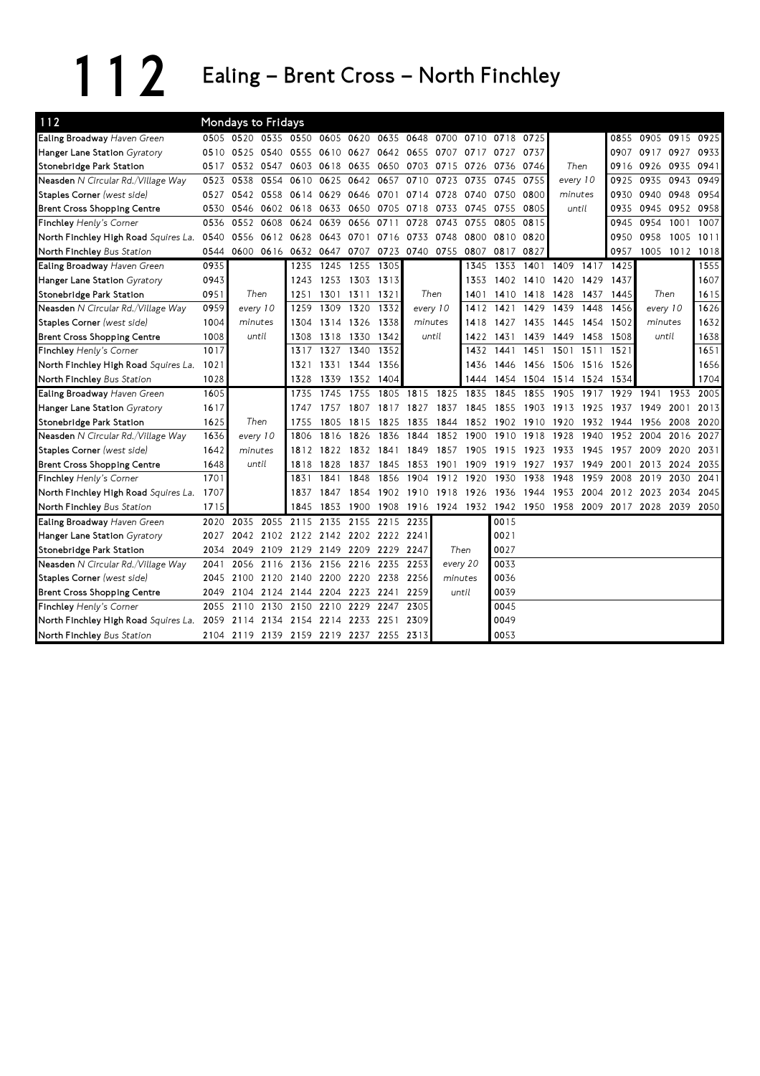## 112 Ealing – Brent Cross – North Finchley

| 112                                  |      | Mondays to Fridays                      |                |           |      |                |                     |           |                |          |                |           |                                                        |      |       |                |      |           |
|--------------------------------------|------|-----------------------------------------|----------------|-----------|------|----------------|---------------------|-----------|----------------|----------|----------------|-----------|--------------------------------------------------------|------|-------|----------------|------|-----------|
| Ealing Broadway Haven Green          |      | 0505 0520 0535 0550 0605 0620 0635      |                |           |      |                |                     | 0648      | 0700           |          | 0710 0718 0725 |           |                                                        |      | 0855  | 0905 0915 0925 |      |           |
| Hanger Lane Station Gyratory         | 0510 | 0525                                    | 0540           | 0555      |      | 0610 0627      | 0642                | 0655 0707 |                | 0717     | 0727           | 0737      |                                                        |      |       | 0907 0917      | 0927 | 0933      |
| Stonebridge Park Station             | 0517 | 0532 0547                               |                | 0603      | 0618 | 0635           | 0650                | 0703      | 0715           | 0726     | 0736           | 0746      | Then                                                   |      |       | 0916 0926      | 0935 | 0941      |
| Neasden N Circular Rd./Village Way   | 0523 | 0538                                    | 0554           | 0610      | 0625 | 0642           | 0657                | 0710      | 0723           | 0735     | 0745           | 0755      | every 10                                               |      | 0925  | 0935           | 0943 | 0949      |
| Staples Corner (west side)           | 0527 | 0542                                    |                | 0558 0614 | 0629 | 0646           | 0701                | 0714      | 0728           | 0740     | 0750           | 0800      | minutes                                                |      | 0930  | 0940           | 0948 | 0954      |
| <b>Brent Cross Shopping Centre</b>   | 0530 | 0546                                    |                | 0602 0618 | 0633 | 0650 0705      |                     | 0718      | 0733           | 0745     | 0755           | 0805      | until                                                  |      | 0935  | 0945           |      | 0952 0958 |
| Finchley Henly's Corner              | 0536 | 0552                                    | 0608           | 0624      | 0639 | 0656           | 0711                | 0728      | 0743           | 0755     | 0805           | 0815      |                                                        |      | 0945  | 0954           | 1001 | 1007      |
| North Finchley High Road Squires La. | 0540 | 0556                                    | 0612 0628      |           | 0643 | 0701           | 0716                | 0733      | 0748           | 0800     | 0810           | 0820      |                                                        |      | 0950  | 0958           | 1005 | 1011      |
| North Finchley Bus Station           | 0544 | 0600                                    | 0616 0632      |           |      | 0647 0707 0723 |                     |           | 0740 0755      | 0807     | 0817           | 0827      |                                                        |      | 0957  | 1005 1012 1018 |      |           |
| Ealing Broadway Haven Green          | 0935 |                                         |                | 1235      | 1245 | 1255           | 1305                |           |                | 1345     | 1353           | 1401      | 1409                                                   | 1417 | 1425  |                |      | 1555      |
| Hanger Lane Station Gyratory         | 0943 |                                         |                | 1243      |      | 1253 1303 1313 |                     |           |                | 1353     |                | 1402 1410 | 1420                                                   | 1429 | 1437  |                |      | 1607      |
| Stonebridge Park Station             | 0951 | Then                                    |                | 1251      |      | 1301 1311 1321 |                     |           | Then           | 1401     | 1410           | 1418      | 1428                                                   | 1437 | 1445  | Then           |      | 1615      |
| Neasden N Circular Rd./Village Way   | 0959 | every 10                                |                | 1259      | 1309 | 1320           | 1332                | every 10  |                | 1412     | 1421           | 1429      | 1439                                                   | 1448 | 1456  | every 10       |      | 1626      |
| Staples Corner (west side)           | 1004 | minutes                                 |                | 1304      |      | 1314 1326      | 1338                | minutes   |                | 1418     | 1427           | 1435      | 1445                                                   | 1454 | 1502  | minutes        |      | 1632      |
| <b>Brent Cross Shopping Centre</b>   | 1008 | until                                   |                | 1308      |      | 1318 1330      | 1342                |           | until          | 1422     | 1431           | 1439      | 1449                                                   | 1458 | 1508  | until          |      | 1638      |
| Finchley Henly's Corner              | 1017 |                                         |                | 1317      | 1327 | 1340           | 1352                |           |                | 1432     | 1441           | 1451      | 1501                                                   | 1511 | 1521  |                |      | 1651      |
| North Finchley High Road Squires La. | 1021 |                                         |                | 1321      |      | 1331 1344      | 1356                |           |                | 1436     | 1446           | 1456 1506 |                                                        | 1516 | 1526  |                |      | 1656      |
| North Finchley Bus Station           | 1028 |                                         |                | 1328      |      | 1339 1352 1404 |                     |           |                | 1444     |                |           | 1454 1504 1514 1524                                    |      | -1534 |                |      | 1704      |
| Ealing Broadway Haven Green          | 1605 |                                         |                | 1735      | 1745 | 1755           | 1805                | 1815      | 1825           | 1835     | 1845           | 1855      | 1905                                                   | 1917 | 1929  | 1941           | 1953 | 2005      |
| Hanger Lane Station Gyratory         | 1617 |                                         |                | 1747      | 1757 | 1807           | 1817                | 1827      | 1837           | 1845     | 1855           | 1903      | 1913                                                   | 1925 | 1937  | 1949           | 2001 | 2013      |
| Stonebridge Park Station             | 1625 | Then                                    |                | 1755      | 1805 | 1815           | 1825                | 1835      | 1844           | 1852     | 1902           | 1910      | 1920                                                   | 1932 | 1944  | 1956           | 2008 | 2020      |
| Neasden N Circular Rd./Village Way   | 1636 | every 10                                |                | 1806      | 1816 | 1826           | 1836                | 1844      | 1852           | 1900     | 1910           | 1918      | 1928                                                   | 1940 | 1952  | 2004           | 2016 | 2027      |
| Staples Corner (west side)           | 1642 | minutes                                 |                | 1812      | 1822 | 1832           | 1841                | 1849      | 1857           | 1905     | 1915           | 1923      | 1933                                                   | 1945 | 1957  | 2009           | 2020 | 2031      |
| <b>Brent Cross Shopping Centre</b>   | 1648 | until                                   |                | 1818      | 1828 | 1837           | 1845                | 1853      | 1901           | 1909     | 1919           | 1927      | 1937                                                   | 1949 | 2001  | 2013           | 2024 | 2035      |
| Finchley Henly's Corner              | 1701 |                                         |                | 1831      | 1841 | 1848           | 1856                | 1904      | 1912           | 1920     | 1930           | 1938      | 1948                                                   | 1959 | 2008  | 2019           | 2030 | 2041      |
| North Finchley High Road Squires La. | 1707 |                                         |                | 1837      | 1847 | 1854           | 1902                |           | 1910 1918 1926 |          | 1936           | 1944      | 1953                                                   | 2004 | 2012  | 2023           | 2034 | 2045      |
| North Finchley Bus Station           | 1715 |                                         |                | 1845      | 1853 | 1900           | 1908                |           |                |          |                |           | 1916 1924 1932 1942 1950 1958 2009 2017 2028 2039 2050 |      |       |                |      |           |
| Ealing Broadway Haven Green          | 2020 | 2035                                    | 2055           | 2115      | 2135 | 2155           | 2215                | 2235      |                |          | 0015           |           |                                                        |      |       |                |      |           |
| Hanger Lane Station Gyratory         | 2027 |                                         | 2042 2102 2122 |           |      |                | 2142 2202 2222 2241 |           |                |          | 0021           |           |                                                        |      |       |                |      |           |
| Stonebridge Park Station             | 2034 | 2049                                    | 2109 2129      |           |      | 2149 2209      | 2229                | 2247      |                | Then     | 0027           |           |                                                        |      |       |                |      |           |
| Neasden N Circular Rd./Village Way   | 2041 | 2056                                    | 2116           | 2136      |      | 2156 2216      | 2235                | 2253      |                | every 20 | 0033           |           |                                                        |      |       |                |      |           |
| Staples Corner (west side)           | 2045 | 2100                                    | 2120           | 2140      |      | 2200 2220      | 2238                | 2256      | minutes        |          | 0036           |           |                                                        |      |       |                |      |           |
| <b>Brent Cross Shopping Centre</b>   | 2049 | 2104                                    | 2124           | 2144      | 2204 | 2223           | 2241                | 2259      |                | until    | 0039           |           |                                                        |      |       |                |      |           |
| Finchley Henly's Corner              | 2055 | 2110                                    | 2130           | 2150      | 2210 | 2229           | 2247                | 2305      |                |          | 0045           |           |                                                        |      |       |                |      |           |
| North Finchley High Road Squires La. | 2059 | 2114                                    | 2134           | 2154      | 2214 | 2233           | 2251                | 2309      |                |          | 0049           |           |                                                        |      |       |                |      |           |
| North Finchley Bus Station           |      | 2104 2119 2139 2159 2219 2237 2255 2313 |                |           |      |                |                     |           |                |          | 0053           |           |                                                        |      |       |                |      |           |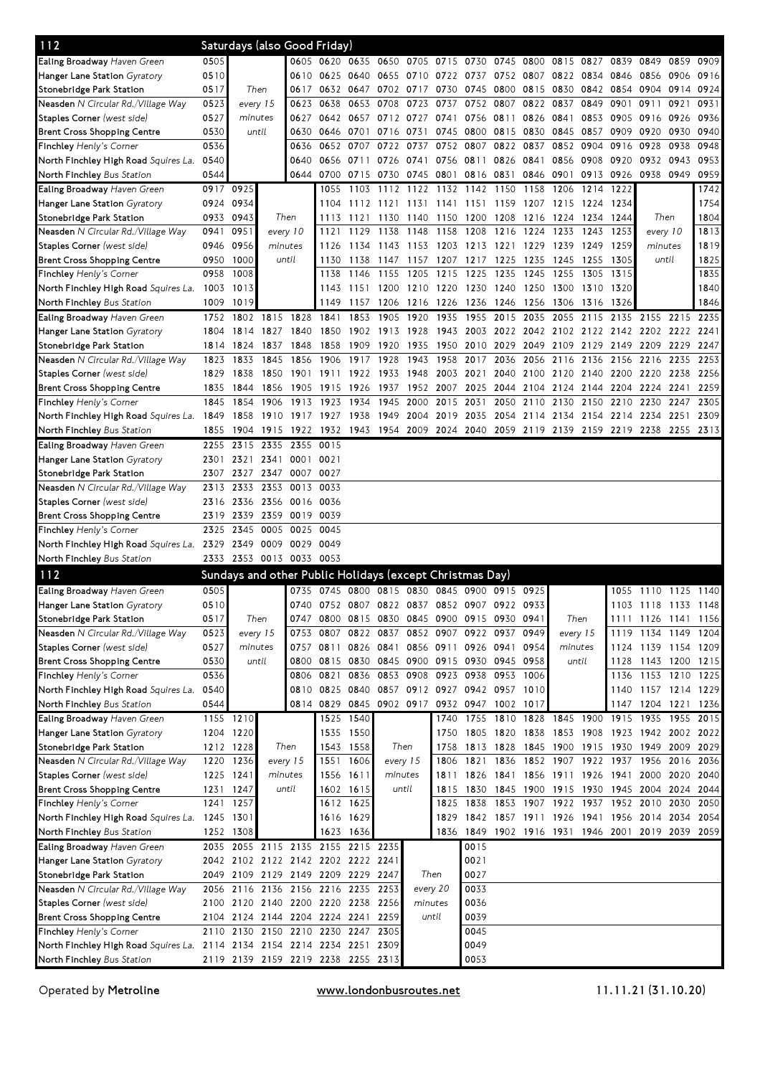| 112                                                                                                   |      |                          |          |                | Saturdays (also Good Friday)       |                |                                                                       |                |           |                |                                                   |           |                |      |                                         |                     |      |           |
|-------------------------------------------------------------------------------------------------------|------|--------------------------|----------|----------------|------------------------------------|----------------|-----------------------------------------------------------------------|----------------|-----------|----------------|---------------------------------------------------|-----------|----------------|------|-----------------------------------------|---------------------|------|-----------|
| <b>Ealing Broadway</b> Haven Green                                                                    | 0505 |                          |          |                | 0605 0620 0635 0650                |                |                                                                       |                |           |                | 0705 0715 0730 0745 0800 0815 0827                |           |                |      | 0839 0849                               |                     | 0859 | 0909      |
| Hanger Lane Station Gyratory                                                                          | 0510 |                          |          | 0610           | 0625 0640 0655                     |                |                                                                       |                |           |                | 0710 0722 0737 0752 0807 0822 0834 0846 0856      |           |                |      |                                         |                     | 0906 | 0916      |
| Stonebridge Park Station                                                                              | 0517 | Then                     |          | 0617           |                                    | 0632 0647 0702 |                                                                       | 0717           | 0730      | 0745           | 0800                                              | 0815      | 0830           |      | 0842 0854 0904                          |                     | 0914 | 0924      |
| Neasden N Circular Rd./Village Way                                                                    | 0523 |                          | every 15 | 0623           | 0638                               | 0653           | 0708                                                                  | 0723           | 0737      | 0752           | 0807                                              | 0822      | 0837           | 0849 | 0901                                    | 0911                | 0921 | 0931      |
| Staples Corner (west side)                                                                            | 0527 | minutes                  |          | 0627           |                                    |                | 0642 0657 0712                                                        | 0727 0741      |           | 0756 0811      |                                                   | 0826 0841 |                | 0853 | 0905 0916                               |                     | 0926 | 0936      |
| <b>Brent Cross Shopping Centre</b>                                                                    | 0530 | until                    |          | 0630           | 0646                               | 0701           | 0716                                                                  | 0731           | 0745      | 0800           | 0815                                              | 0830      | 0845           | 0857 | 0909                                    | 0920                | 0930 | 0940      |
| <b>Finchley</b> Henly's Corner                                                                        | 0536 |                          |          | 0636           | 0652                               | 0707           | 0722                                                                  | 0737           | 0752      | 0807           | 0822                                              | 0837      | 0852           | 0904 | 0916                                    | 0928                | 0938 | 0948      |
| North Finchley High Road <i>Squires La.</i>                                                           | 0540 |                          |          | 0640           |                                    | 0656 0711      | 0726                                                                  | 0741           |           | 0756 0811 0826 |                                                   | 0841      | 0856           | 0908 | 0920 0932                               |                     | 0943 | 0953      |
| North Finchley Bus Station                                                                            | 0544 |                          |          | 0644           |                                    | 0700 0715 0730 |                                                                       |                | 0745 0801 | 0816 0831      |                                                   | 0846 0901 |                | 0913 | 0926 0938                               |                     | 0949 | 0959      |
| Ealing Broadway Haven Green                                                                           |      | 0917 0925                |          |                | 1055                               | 1103           | 1112                                                                  | 1122           | 1132      | 1142           | 1150                                              | 1158      | 1206           | 1214 | 1222                                    |                     |      | 1742      |
| Hanger Lane Station Gyratory                                                                          | 0924 | 0934                     |          |                | 1104                               | 1112 1121      |                                                                       | 1131           | 1141      | 1151           | - 1159                                            | 1207      | 1215           | 1224 | 1234                                    |                     |      | 1754      |
| Stonebridge Park Station                                                                              |      | 0933 0943                |          | Then           | 1113                               | 1121 1130      |                                                                       | 1140           | 1150      | 1200           | 1208                                              | 1216 1224 |                | 1234 | 1244                                    | Then                |      | 1804      |
| <b>Neasden</b> N Circular Rd./Village Way                                                             | 0941 | 0951                     |          | every 10       | 1121                               | 1129           | 1138                                                                  | 1148           | 1158      | 1208           | 1216                                              | 1224      | 1233           | 1243 | 1253                                    | every 10            |      | 1813      |
| Staples Corner (west side)                                                                            | 0946 | 0956                     |          | minutes        | 1126                               | 1134           | 1143                                                                  | 1153           | 1203      | 1213           | 1221                                              | 1229      | 1239           | 1249 | 1259                                    | minutes             |      | 1819      |
| <b>Brent Cross Shopping Centre</b>                                                                    |      | 0950 1000                |          | until          | 1130                               | 1138           | 1147                                                                  | 1157           | 1207      | 1217           | 1225                                              | 1235      | 1245           | 1255 | 1305                                    | until               |      | 1825      |
| <b>Finchley</b> Henly's Corner                                                                        | 0958 | 1008                     |          |                | 1138                               |                | 1146 1155                                                             | 1205           | 1215      | 1225           | 1235                                              | 1245      | 1255           | 1305 | 1315                                    |                     |      | 1835      |
| North Finchley High Road Squires La. 1003                                                             |      | 1013                     |          |                | 1143                               | 1151 1200      |                                                                       | 1210 1220 1230 |           |                | 1240                                              | 1250 1300 |                | 1310 | 1320                                    |                     |      | 1840      |
| North Finchley Bus Station                                                                            | 1009 | 1019                     |          |                | 1149                               | 1157           | 1206                                                                  | 1216 1226      |           | 1236           | 1246 1256 1306                                    |           |                | 1316 | 1326                                    |                     |      | 1846      |
| Ealing Broadway Haven Green                                                                           | 1752 | 1802                     |          | 1815 1828      | 1841                               | 1853           | 1905                                                                  | 1920           | 1935      | 1955           | 2015                                              | 2035      | 2055           | 2115 |                                         | 2135 2155 2215      |      | 2235      |
| Hanger Lane Station Gyratory                                                                          | 1804 | 1814                     |          | 1827 1840      |                                    | 1850 1902 1913 |                                                                       | 1928           |           |                | 1943 2003 2022 2042 2102 2122 2142 2202 2222 2241 |           |                |      |                                         |                     |      |           |
| Stonebridge Park Station                                                                              | 1814 | 1824                     |          | 1837 1848      | 1858                               | 1909 1920      |                                                                       | 1935           |           | 1950 2010      | 2029                                              |           | 2049 2109 2129 |      | 2149 2209 2229                          |                     |      | 2247      |
| <b>Neasden</b> N Circular Rd./Village Way                                                             | 1823 | 1833                     | 1845     | 1856           | 1906                               | 1917           | 1928                                                                  | 1943           | 1958      | 2017 2036      |                                                   |           | 2056 2116      | 2136 | 2156 2216                               |                     | 2235 | 2253      |
| Staples Corner (west side)                                                                            | 1829 | 1838                     |          | 1850 1901      | 1911                               |                | 1922 1933                                                             | 1948           |           | 2003 2021      | 2040                                              | 2100 2120 |                | 2140 | 2200 2220                               |                     | 2238 | 2256      |
| <b>Brent Cross Shopping Centre</b>                                                                    | 1835 | 1844                     | 1856     | 1905           | 1915                               | 1926           | 1937                                                                  | 1952           | 2007      | 2025           | 2044                                              | 2104 2124 |                | 2144 | 2204 2224                               |                     | 2241 | 2259      |
| Finchley Henly's Corner                                                                               | 1845 | 1854                     | 1906     | 1913           | 1923                               | 1934           | 1945                                                                  | 2000           | 2015      | 2031           | 2050                                              | 2110 2130 |                | 2150 | 2210 2230                               |                     | 2247 | 2305      |
| North Finchley High Road <i>Squires La.</i> 1849                                                      |      | 1858                     |          | 1910 1917      | 1927 1938                          |                | 1949                                                                  | 2004 2019 2035 |           |                | 2054 2114 2134                                    |           |                |      | 2154 2214 2234                          |                     | 2251 | 2309      |
| North Finchley Bus Station                                                                            | 1855 | 1904 1915 1922           |          |                |                                    |                | 1932 1943 1954 2009 2024 2040 2059 2119 2139 2159 2219 2238 2255 2313 |                |           |                |                                                   |           |                |      |                                         |                     |      |           |
| Ealing Broadway Haven Green                                                                           | 2255 | 2315                     | 2335     | 2355           | 0015                               |                |                                                                       |                |           |                |                                                   |           |                |      |                                         |                     |      |           |
| Hanger Lane Station Gyratory                                                                          | 2301 | 2321                     |          | 2341 0001 0021 |                                    |                |                                                                       |                |           |                |                                                   |           |                |      |                                         |                     |      |           |
| Stonebridge Park Station                                                                              | 2307 | 2327                     |          | 2347 0007      | 0027                               |                |                                                                       |                |           |                |                                                   |           |                |      |                                         |                     |      |           |
| <b>Neasden</b> N Circular Rd./Village Way                                                             | 2313 | 2333                     |          | 2353 0013      | 0033                               |                |                                                                       |                |           |                |                                                   |           |                |      |                                         |                     |      |           |
| <b>Staples Corner</b> (west side)                                                                     | 2316 | 2336                     |          | 2356 0016      | 0036                               |                |                                                                       |                |           |                |                                                   |           |                |      |                                         |                     |      |           |
| Brent Cross Shopping Centre                                                                           | 2319 | 2339                     |          | 2359 0019      | 0039                               |                |                                                                       |                |           |                |                                                   |           |                |      |                                         |                     |      |           |
| <b>Finchley</b> Henly's Corner                                                                        | 2325 | 2345                     | 0005     | 0025           | 0045                               |                |                                                                       |                |           |                |                                                   |           |                |      |                                         |                     |      |           |
| North Finchley High Road Squires La. 2329                                                             |      | 2349                     |          | 0009 0029      | 0049                               |                |                                                                       |                |           |                |                                                   |           |                |      |                                         |                     |      |           |
| North Finchley Bus Station                                                                            |      | 2333 2353 0013 0033 0053 |          |                |                                    |                |                                                                       |                |           |                |                                                   |           |                |      |                                         |                     |      |           |
| 112                                                                                                   |      |                          |          |                |                                    |                | Sundays and other Public Holidays (except Christmas Day)              |                |           |                |                                                   |           |                |      |                                         |                     |      |           |
| <b>Ealing Broadway</b> Haven Green                                                                    | 0505 |                          |          |                |                                    |                | 0735 0745 0800 0815 0830 0845 0900 0915 0925                          |                |           |                |                                                   |           |                |      | 1055                                    | 1110                | 1125 | 1140      |
| Hanger Lane Station Gyratory                                                                          | 0510 |                          |          |                |                                    |                | 0740 0752 0807 0822 0837 0852 0907 0922 0933                          |                |           |                |                                                   |           |                |      |                                         | 1103 1118 1133 1148 |      |           |
| Stonebridge Park Station                                                                              | 0517 | Then                     |          | 0747           |                                    |                | 0800 0815 0830 0845 0900 0915 0930 0941                               |                |           |                |                                                   |           | Then           |      |                                         | 1111 1126 1141 1156 |      |           |
| Neasden N Circular Rd./Village Way                                                                    | 0523 |                          | every 15 | 0753           | 0807                               | 0822           | 0837                                                                  |                | 0852 0907 | 0922           | 0937                                              | 0949      | every 15       |      |                                         | 1119 1134           |      | 1149 1204 |
| Staples Corner (west side)                                                                            | 0527 | minutes                  |          | 0757           | 0811                               |                | 0826 0841 0856 0911 0926 0941                                         |                |           |                |                                                   | 0954      | minutes        |      |                                         | 1124 1139 1154 1209 |      |           |
| Brent Cross Shopping Centre                                                                           | 0530 |                          | until    | 0800           |                                    |                | 0815 0830 0845 0900 0915 0930 0945 0958                               |                |           |                |                                                   |           | until          |      |                                         | 1128 1143 1200 1215 |      |           |
| Finchley Henly's Corner                                                                               | 0536 |                          |          | 0806           | 0821                               | 0836           | 0853                                                                  | 0908 0923      |           | 0938 0953      |                                                   | 1006      |                |      | 1136                                    | 1153 1210 1225      |      |           |
| North Finchley High Road <i>Squires La.</i>                                                           | 0540 |                          |          | 0810           |                                    |                | 0825 0840 0857 0912 0927 0942 0957                                    |                |           |                |                                                   | 1010      |                |      |                                         | 1140 1157 1214 1229 |      |           |
| North Finchley Bus Station                                                                            | 0544 |                          |          |                |                                    |                | 0814 0829 0845 0902 0917 0932 0947 1002                               |                |           |                |                                                   | 1017      |                |      |                                         | 1147 1204 1221      |      | 1236      |
| Ealing Broadway Haven Green                                                                           |      | 1155 1210                |          |                |                                    | 1525 1540      |                                                                       |                | 1740      |                | 1755 1810                                         | 1828 1845 |                | 1900 | 1915 1935                               |                     | 1955 | 2015      |
| Hanger Lane Station Gyratory                                                                          |      | 1204 1220                |          |                |                                    | 1535 1550      |                                                                       |                | 1750      |                | 1805 1820 1838 1853 1908                          |           |                |      |                                         | 1923 1942 2002      |      | 2022      |
| Stonebridge Park Station                                                                              |      | 1212 1228                |          | Then           |                                    | 1543 1558      | Then                                                                  |                | 1758      |                | 1813 1828                                         |           |                |      | 1845 1900 1915 1930 1949 2009 2029      |                     |      |           |
| Neasden N Circular Rd./Village Way                                                                    | 1220 | 1236                     |          | every 15       | 1551                               | 1606           | every 15                                                              |                | 1806      | 1821           | 1836                                              |           |                |      | 1852 1907 1922 1937 1956                |                     | 2016 | 2036      |
| Staples Corner (west side)                                                                            |      | 1225 1241                |          | minutes        |                                    | 1556 1611      | minutes                                                               |                | 1811      | 1826           | 1841                                              |           |                |      | 1856 1911 1926 1941 2000                |                     | 2020 | 2040      |
| <b>Brent Cross Shopping Centre</b>                                                                    |      | 1231 1247                |          | until          |                                    | 1602 1615      | until                                                                 |                | 1815      | 1830           |                                                   |           |                |      | 1845 1900 1915 1930 1945 2004           |                     | 2024 | 2044      |
| <b>Finchley</b> Henly's Corner                                                                        |      | 1241 1257                |          |                |                                    | 1612 1625      |                                                                       |                | 1825      | 1838           | 1853 1907 1922 1937 1952 2010                     |           |                |      |                                         |                     | 2030 | 2050      |
| North Finchley High Road Squires La. 1245 1301                                                        |      |                          |          |                |                                    | 1616 1629      |                                                                       |                | 1829      |                | 1842 1857 1911 1926 1941 1956 2014 2034           |           |                |      |                                         |                     |      | 2054      |
| North Finchley Bus Station                                                                            |      | 1252 1308                |          |                |                                    | 1623 1636      |                                                                       |                | 1836      | 1849           |                                                   |           |                |      | 1902 1916 1931 1946 2001 2019 2039 2059 |                     |      |           |
| Ealing Broadway Haven Green                                                                           | 2035 |                          |          |                | 2055 2115 2135 2155 2215 2235      |                |                                                                       |                |           | 0015           |                                                   |           |                |      |                                         |                     |      |           |
| Hanger Lane Station Gyratory                                                                          |      |                          |          |                | 2042 2102 2122 2142 2202 2222 2241 |                |                                                                       |                |           | 0021           |                                                   |           |                |      |                                         |                     |      |           |
| Stonebridge Park Station                                                                              |      |                          |          |                | 2049 2109 2129 2149 2209 2229 2247 |                |                                                                       | Then           |           | 0027           |                                                   |           |                |      |                                         |                     |      |           |
| Neasden N Circular Rd./Village Way                                                                    | 2056 |                          |          |                | 2116 2136 2156 2216 2235 2253      |                |                                                                       | every 20       |           | 0033           |                                                   |           |                |      |                                         |                     |      |           |
| Staples Corner (west side)                                                                            |      |                          |          |                | 2100 2120 2140 2200 2220 2238 2256 |                |                                                                       | minutes        |           | 0036           |                                                   |           |                |      |                                         |                     |      |           |
| Brent Cross Shopping Centre                                                                           |      |                          |          |                | 2104 2124 2144 2204 2224 2241 2259 |                |                                                                       | until          |           | 0039           |                                                   |           |                |      |                                         |                     |      |           |
| Finchley Henly's Corner                                                                               |      |                          |          |                | 2110 2130 2150 2210 2230 2247      |                | 2305                                                                  |                |           | 0045           |                                                   |           |                |      |                                         |                     |      |           |
| North Finchley High Road Squires La. 2114 2134 2154 2214 2234 2251 2309<br>North Finchley Bus Station |      |                          |          |                |                                    |                |                                                                       |                |           | 0049           |                                                   |           |                |      |                                         |                     |      |           |
|                                                                                                       |      |                          |          |                | 2119 2139 2159 2219 2238 2255 2313 |                |                                                                       |                |           | 0053           |                                                   |           |                |      |                                         |                     |      |           |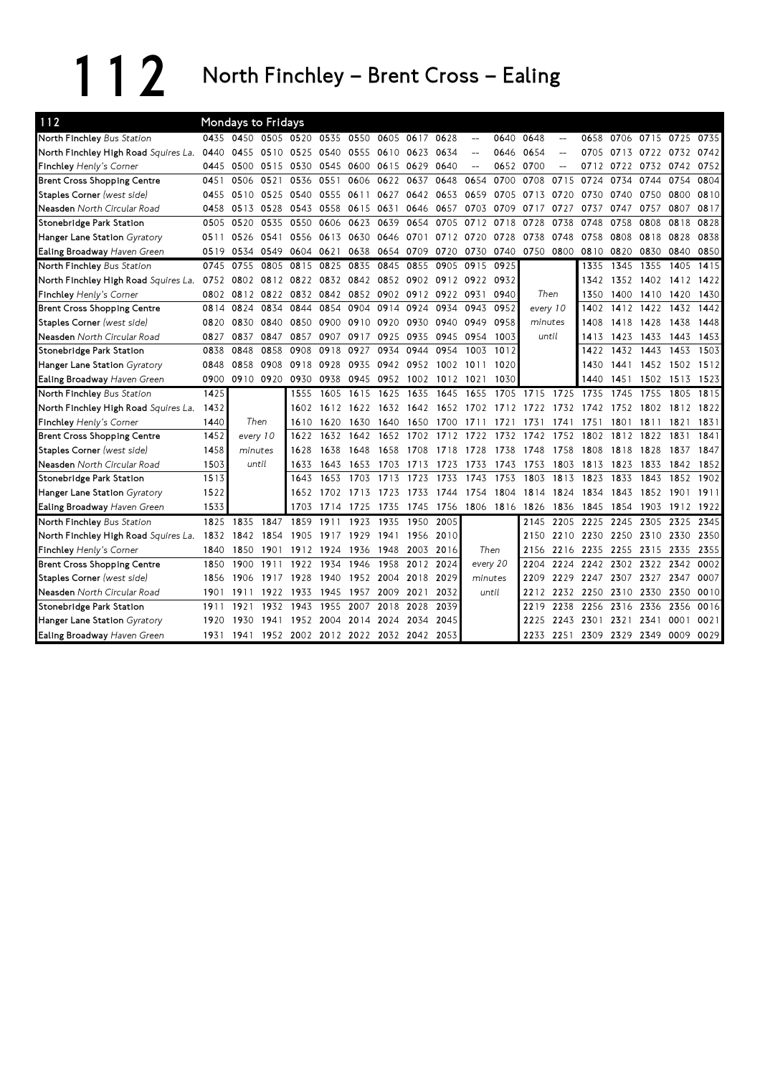112 North Finchley – Brent Cross – Ealing

| 112                                  |      | Mondays to Fridays                      |           |                |           |                |                               |                |                |                          |                |           |                          |      |                          |                |                     |      |
|--------------------------------------|------|-----------------------------------------|-----------|----------------|-----------|----------------|-------------------------------|----------------|----------------|--------------------------|----------------|-----------|--------------------------|------|--------------------------|----------------|---------------------|------|
| North Finchley Bus Station           | 0435 | 0450                                    |           | 0505 0520 0535 |           | 0550 0605      |                               | 0617           | 0628           | $\overline{\phantom{m}}$ | 0640           | 0648      | $\overline{\phantom{a}}$ | 0658 |                          |                | 0706 0715 0725      | 0735 |
| North Finchley High Road Squires La. | 0440 | 0455                                    | 0510 0525 |                | 0540      | 0555           | 0610                          | 0623           | 0634           |                          | 0646           | 0654      |                          | 0705 | 0713 0722                |                | 0732                | 0742 |
| Finchley Henly's Corner              | 0445 | 0500                                    | 0515 0530 |                |           | 0545 0600 0615 |                               | 0629           | 0640           | $-$                      |                | 0652 0700 | $-$                      | 0712 | 0722 0732                |                | 0742                | 0752 |
| <b>Brent Cross Shopping Centre</b>   | 0451 | 0506                                    | 0521      | 0536           | 0551      | 0606           | 0622                          | 0637           | 0648           | 0654                     | 0700           | 0708      | 0715                     | 0724 | 0734                     | 0744           | 0754                | 0804 |
| Staples Corner (west side)           | 0455 | 0510                                    | 0525 0540 |                |           | 0555 0611      | 0627                          |                | 0642 0653      | 0659                     | 0705           | 0713      | 0720                     | 0730 | 0740 0750                |                | 0800                | 0810 |
| Neasden North Circular Road          | 0458 | 0513                                    | 0528      | 0543           | 0558      | 0615 0631      |                               | 0646 0657      |                | 0703                     | 0709           | 0717      | 0727                     | 0737 | 0747                     | 0757           | 0807                | 0817 |
| Stonebridge Park Station             | 0505 | 0520                                    | 0535      | 0550           | 0606      | 0623           | 0639                          | 0654           | 0705           | 0712                     | 0718           | 0728      | 0738                     | 0748 | 0758                     | 0808           | 0818                | 0828 |
| Hanger Lane Station Gyratory         | 0511 | 0526                                    | 0541      | 0556           | 0613      | 0630           | 0646                          | 0701           | 0712 0720      |                          | 0728           | 0738      | 0748                     | 0758 | 0808                     | 0818           | 0828                | 0838 |
| Ealing Broadway Haven Green          | 0519 | 0534                                    | 0549 0604 |                | 0621      |                | 0638 0654                     | 0709           | 0720           | 0730                     | 0740           | 0750 0800 |                          | 0810 | 0820 0830                |                | 0840                | 0850 |
| North Finchley Bus Station           | 0745 | 0755                                    | 0805      | 0815           | 0825      | 0835           | 0845                          | 0855           | 0905           | 0915                     | 0925           |           |                          | 1335 | 1345                     | 1355           | 1405                | 1415 |
| North Finchley High Road Squires La. | 0752 | 0802                                    | 0812 0822 |                |           | 0832 0842 0852 |                               | 0902 0912 0922 |                |                          | 0932           |           |                          | 1342 |                          | 1352 1402 1412 |                     | 1422 |
| Finchley Henly's Corner              | 0802 | 0812 0822 0832                          |           |                |           |                | 0842 0852 0902 0912 0922 0931 |                |                |                          | 0940           | Then      |                          | 1350 |                          | 1400 1410      | 1420                | 1430 |
| <b>Brent Cross Shopping Centre</b>   | 0814 | 0824                                    | 0834      | 0844           | 0854      | 0904           | 0914                          | 0924           | 0934           | 0943                     | 0952           | every 10  |                          | 1402 |                          | 1412 1422      | 1432                | 1442 |
| Staples Corner (west side)           | 0820 | 0830                                    | 0840      | 0850           | 0900      | 0910 0920      |                               |                | 0930 0940 0949 |                          | 0958           | minutes   |                          | 1408 | 1418 1428                |                | 1438                | 1448 |
| Neasden North Circular Road          | 0827 | 0837                                    | 0847      | 0857           | 0907      | 0917           | 0925                          | 0935           | 0945           | 0954                     | 1003           | until     |                          | 1413 | 1423 1433                |                | 1443                | 1453 |
| Stonebridge Park Station             | 0838 | 0848                                    | 0858      | 0908           | 0918      | 0927           | 0934                          | 0944           | 0954           | 1003                     | 1012           |           |                          | 1422 | 1432                     | 1443           | 1453                | 1503 |
| Hanger Lane Station Gyratory         | 0848 | 0858                                    | 0908      | 0918           | 0928      | 0935           | 0942                          |                | 0952 1002      | 1011                     | 1020           |           |                          | 1430 |                          |                | 1441 1452 1502 1512 |      |
| Ealing Broadway Haven Green          | 0900 | 0910 0920                               |           | 0930           | 0938      | 0945           | 0952                          | 1002           | 1012           | 1021                     | 1030           |           |                          | 1440 | 1451                     | 1502           | 1513                | 1523 |
| North Finchley Bus Station           | 1425 |                                         |           | 1555           | 1605      | 1615           | 1625                          | 1635           | 1645           | 1655                     |                | 1705 1715 | 1725                     | 1735 | 1745                     | 1755           | 1805                | 1815 |
| North Finchley High Road Squires La. | 1432 |                                         |           | 1602           |           | 1612 1622      | 1632                          |                | 1642 1652      |                          | 1702 1712 1722 |           | 1732                     | 1742 | 1752                     | 1802           | 1812 1822           |      |
| Finchley Henly's Corner              | 1440 | Then                                    |           | 1610           | 1620      | 1630 1640      |                               |                | 1650 1700      | 1711                     | 1721           | 1731      | 1741                     | 1751 | 1801                     | 1811           | 1821                | 1831 |
| <b>Brent Cross Shopping Centre</b>   | 1452 | every 10                                |           | 1622           | 1632      | 1642           | 1652                          | 1702           | 1712           | 1722                     | 1732           | 1742      | 1752                     | 1802 | 1812                     | 1822           | 1831                | 1841 |
| Staples Corner (west side)           | 1458 | minutes                                 |           | 1628           | 1638      | 1648           | 1658                          | 1708           | 1718           | 1728                     | 1738           | 1748      | 1758                     | 1808 | 1818                     | 1828           | 1837                | 1847 |
| Neasden North Circular Road          | 1503 | until                                   |           | 1633           | 1643      | 1653           | 1703                          | 1713           | 1723           | 1733                     | 1743           | 1753      | 1803                     | 1813 | 1823                     | 1833           | 1842                | 1852 |
| Stonebridge Park Station             | 1513 |                                         |           | 1643           | 1653      | 1703           | 1713                          | 1723           | 1733           | 1743                     | 1753           | 1803      | 1813                     | 1823 | 1833                     | 1843           | 1852                | 1902 |
| Hanger Lane Station Gyratory         | 1522 |                                         |           | 1652           | 1702 1713 |                | 1723                          | 1733           | 1744           | 1754                     | 1804           | 1814      | 1824                     | 1834 | 1843                     | 1852           | 1901                | 1911 |
| Ealing Broadway Haven Green          | 1533 |                                         |           | 1703           | 1714      | 1725           | 1735                          | 1745           | 1756           |                          | 1806 1816      | 1826      | 1836                     | 1845 | 1854                     | 1903           | 1912                | 1922 |
| North Finchley Bus Station           | 1825 | 1835                                    | 1847      | 1859           | 1911      | 1923           | 1935                          | 1950           | 2005           |                          |                | 2145      | 2205                     | 2225 | 2245                     | 2305           | 2325                | 2345 |
| North Finchley High Road Squires La. | 1832 | 1842                                    | 1854      | 1905           | 1917      | 1929           | 1941                          |                | 1956 2010      |                          |                |           | 2150 2210                | 2230 | 2250 2310                |                | 2330                | 2350 |
| Finchley Henly's Corner              | 1840 | 1850                                    | 1901      | 1912           | 1924      | 1936           | 1948                          |                | 2003 2016      |                          | Then           | 2156      | 2216                     | 2235 | 2255 2315                |                | 2335                | 2355 |
| <b>Brent Cross Shopping Centre</b>   | 1850 | 1900                                    | 1911      | 1922           | 1934      | 1946           | 1958                          |                | 2012 2024      | every 20                 |                | 2204      | 2224                     | 2242 | 2302 2322                |                | 2342                | 0002 |
| Staples Corner (west side)           | 1856 | 1906                                    | 1917      | 1928           | 1940      | 1952           | 2004                          | 2018           | 2029           |                          | minutes        | 2209      | 2229                     | 2247 | 2307                     | 2327           | 2347                | 0007 |
| Neasden North Circular Road          | 1901 | 1911                                    | 1922      | 1933           | 1945      | 1957           | 2009                          | 2021           | 2032           |                          | until          | 2212      | 2232                     | 2250 | 2310                     | 2330           | 2350                | 0010 |
| Stonebridge Park Station             | 1911 | 1921                                    | 1932      | 1943           | 1955      | 2007           | 2018                          | 2028           | 2039           |                          |                | 2219      | 2238                     | 2256 | 2316 2336                |                | 2356                | 0016 |
| Hanger Lane Station Gyratory         | 1920 | 1930                                    | 1941      | 1952           | 2004      | 2014           | 2024                          | 2034           | 2045           |                          |                | 2225      | 2243                     | 2301 | 2321                     | 2341           | 0001                | 0021 |
| Ealing Broadway Haven Green          | 1931 | 1941 1952 2002 2012 2022 2032 2042 2053 |           |                |           |                |                               |                |                |                          |                |           |                          |      | 2233 2251 2309 2329 2349 |                | 0009 0029           |      |